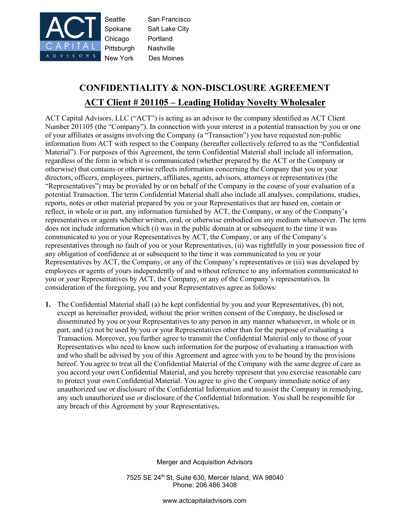

## **CONFIDENTIALITY & NON-DISCLOSURE AGREEMENT ACT Client # 201105 – Leading Holiday Novelty Wholesaler**

ACT Capital Advisors, LLC ("ACT") is acting as an advisor to the company identified as ACT Client Number 201105 (the "Company"). In connection with your interest in a potential transaction by you or one of your affiliates or assigns involving the Company (a "Transaction") you have requested non-public information from ACT with respect to the Company (hereafter collectively referred to as the "Confidential Material"). For purposes of this Agreement, the term Confidential Material shall include all information, regardless of the form in which it is communicated (whether prepared by the ACT or the Company or otherwise) that contains or otherwise reflects information concerning the Company that you or your directors, officers, employees, partners, affiliates, agents, advisors, attorneys or representatives (the "Representatives") may be provided by or on behalf of the Company in the course of your evaluation of a potential Transaction. The term Confidential Material shall also include all analyses, compilations, studies, reports, notes or other material prepared by you or your Representatives that are based on, contain or reflect, in whole or in part, any information furnished by ACT, the Company, or any of the Company's representatives or agents whether written, oral, or otherwise embodied on any medium whatsoever. The term does not include information which (i) was in the public domain at or subsequent to the time it was communicated to you or your Representatives by ACT, the Company, or any of the Company's representatives through no fault of you or your Representatives, (ii) was rightfully in your possession free of any obligation of confidence at or subsequent to the time it was communicated to you or your Representatives by ACT, the Company, or any of the Company's representatives or (iii) was developed by employees or agents of yours independently of and without reference to any information communicated to you or your Representatives by ACT, the Company, or any of the Company's representatives. In consideration of the foregoing, you and your Representatives agree as follows:

**1.** The Confidential Material shall (a) be kept confidential by you and your Representatives, (b) not, except as hereinafter provided, without the prior written consent of the Company, be disclosed or disseminated by you or your Representatives to any person in any manner whatsoever, in whole or in part, and (c) not be used by you or your Representatives other than for the purpose of evaluating a Transaction. Moreover, you further agree to transmit the Confidential Material only to those of your Representatives who need to know such information for the purpose of evaluating a transaction with and who shall be advised by you of this Agreement and agree with you to be bound by the provisions hereof. You agree to treat all the Confidential Material of the Company with the same degree of care as you accord your own Confidential Material, and you hereby represent that you exercise reasonable care to protect your own Confidential Material. You agree to give the Company immediate notice of any unauthorized use or disclosure of the Confidential Information and to assist the Company in remedying, any such unauthorized use or disclosure of the Confidential Information. You shall be responsible for any breach of this Agreement by your Representatives**.**

Merger and Acquisition Advisors

7525 SE 24th St, Suite 630, Mercer Island, WA 98040 Phone: 206.486.3408

[www.actcapitaladvisors.com](http://www.actcapitaladvisors.com/)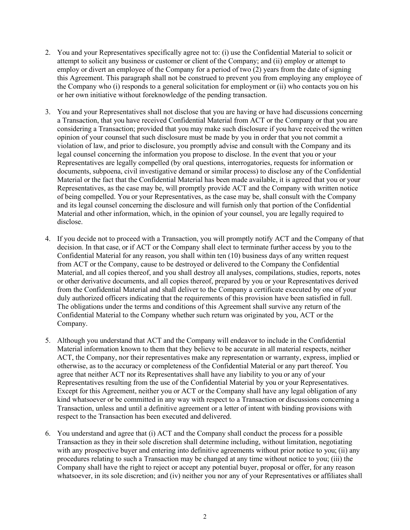- 2. You and your Representatives specifically agree not to: (i) use the Confidential Material to solicit or attempt to solicit any business or customer or client of the Company; and (ii) employ or attempt to employ or divert an employee of the Company for a period of two (2) years from the date of signing this Agreement. This paragraph shall not be construed to prevent you from employing any employee of the Company who (i) responds to a general solicitation for employment or (ii) who contacts you on his or her own initiative without foreknowledge of the pending transaction.
- 3. You and your Representatives shall not disclose that you are having or have had discussions concerning a Transaction, that you have received Confidential Material from ACT or the Company or that you are considering a Transaction; provided that you may make such disclosure if you have received the written opinion of your counsel that such disclosure must be made by you in order that you not commit a violation of law, and prior to disclosure, you promptly advise and consult with the Company and its legal counsel concerning the information you propose to disclose. In the event that you or your Representatives are legally compelled (by oral questions, interrogatories, requests for information or documents, subpoena, civil investigative demand or similar process) to disclose any of the Confidential Material or the fact that the Confidential Material has been made available, it is agreed that you or your Representatives, as the case may be, will promptly provide ACT and the Company with written notice of being compelled. You or your Representatives, as the case may be, shall consult with the Company and its legal counsel concerning the disclosure and will furnish only that portion of the Confidential Material and other information, which, in the opinion of your counsel, you are legally required to disclose.
- 4. If you decide not to proceed with a Transaction, you will promptly notify ACT and the Company of that decision. In that case, or if ACT or the Company shall elect to terminate further access by you to the Confidential Material for any reason, you shall within ten (10) business days of any written request from ACT or the Company, cause to be destroyed or delivered to the Company the Confidential Material, and all copies thereof, and you shall destroy all analyses, compilations, studies, reports, notes or other derivative documents, and all copies thereof, prepared by you or your Representatives derived from the Confidential Material and shall deliver to the Company a certificate executed by one of your duly authorized officers indicating that the requirements of this provision have been satisfied in full. The obligations under the terms and conditions of this Agreement shall survive any return of the Confidential Material to the Company whether such return was originated by you, ACT or the Company.
- 5. Although you understand that ACT and the Company will endeavor to include in the Confidential Material information known to them that they believe to be accurate in all material respects, neither ACT, the Company, nor their representatives make any representation or warranty, express, implied or otherwise, as to the accuracy or completeness of the Confidential Material or any part thereof. You agree that neither ACT nor its Representatives shall have any liability to you or any of your Representatives resulting from the use of the Confidential Material by you or your Representatives. Except for this Agreement, neither you or ACT or the Company shall have any legal obligation of any kind whatsoever or be committed in any way with respect to a Transaction or discussions concerning a Transaction, unless and until a definitive agreement or a letter of intent with binding provisions with respect to the Transaction has been executed and delivered.
- 6. You understand and agree that (i) ACT and the Company shall conduct the process for a possible Transaction as they in their sole discretion shall determine including, without limitation, negotiating with any prospective buyer and entering into definitive agreements without prior notice to you; (ii) any procedures relating to such a Transaction may be changed at any time without notice to you; (iii) the Company shall have the right to reject or accept any potential buyer, proposal or offer, for any reason whatsoever, in its sole discretion; and (iv) neither you nor any of your Representatives or affiliates shall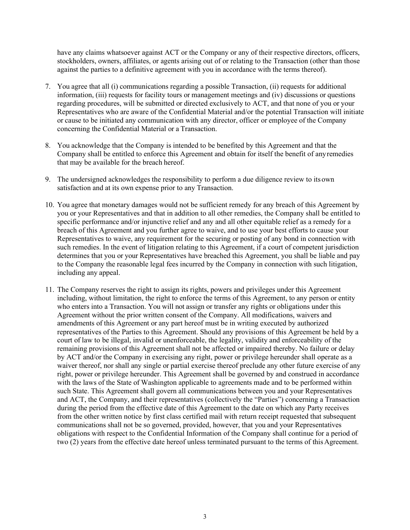have any claims whatsoever against ACT or the Company or any of their respective directors, officers, stockholders, owners, affiliates, or agents arising out of or relating to the Transaction (other than those against the parties to a definitive agreement with you in accordance with the terms thereof).

- 7. You agree that all (i) communications regarding a possible Transaction, (ii) requests for additional information, (iii) requests for facility tours or management meetings and (iv) discussions or questions regarding procedures, will be submitted or directed exclusively to ACT, and that none of you or your Representatives who are aware of the Confidential Material and/or the potential Transaction will initiate or cause to be initiated any communication with any director, officer or employee of the Company concerning the Confidential Material or a Transaction.
- 8. You acknowledge that the Company is intended to be benefited by this Agreement and that the Company shall be entitled to enforce this Agreement and obtain for itself the benefit of anyremedies that may be available for the breach hereof.
- 9. The undersigned acknowledges the responsibility to perform a due diligence review to its own satisfaction and at its own expense prior to any Transaction.
- 10. You agree that monetary damages would not be sufficient remedy for any breach of this Agreement by you or your Representatives and that in addition to all other remedies, the Company shall be entitled to specific performance and/or injunctive relief and any and all other equitable relief as a remedy for a breach of this Agreement and you further agree to waive, and to use your best efforts to cause your Representatives to waive, any requirement for the securing or posting of any bond in connection with such remedies. In the event of litigation relating to this Agreement, if a court of competent jurisdiction determines that you or your Representatives have breached this Agreement, you shall be liable and pay to the Company the reasonable legal fees incurred by the Company in connection with such litigation, including any appeal.
- 11. The Company reserves the right to assign its rights, powers and privileges under this Agreement including, without limitation, the right to enforce the terms of this Agreement, to any person or entity who enters into a Transaction. You will not assign or transfer any rights or obligations under this Agreement without the prior written consent of the Company. All modifications, waivers and amendments of this Agreement or any part hereof must be in writing executed by authorized representatives of the Parties to this Agreement. Should any provisions of this Agreement be held by a court of law to be illegal, invalid or unenforceable, the legality, validity and enforceability of the remaining provisions of this Agreement shall not be affected or impaired thereby. No failure or delay by ACT and/or the Company in exercising any right, power or privilege hereunder shall operate as a waiver thereof, nor shall any single or partial exercise thereof preclude any other future exercise of any right, power or privilege hereunder. This Agreement shall be governed by and construed in accordance with the laws of the State of Washington applicable to agreements made and to be performed within such State. This Agreement shall govern all communications between you and your Representatives and ACT, the Company, and their representatives (collectively the "Parties") concerning a Transaction during the period from the effective date of this Agreement to the date on which any Party receives from the other written notice by first class certified mail with return receipt requested that subsequent communications shall not be so governed, provided, however, that you and your Representatives obligations with respect to the Confidential Information of the Company shall continue for a period of two (2) years from the effective date hereof unless terminated pursuant to the terms of this Agreement.